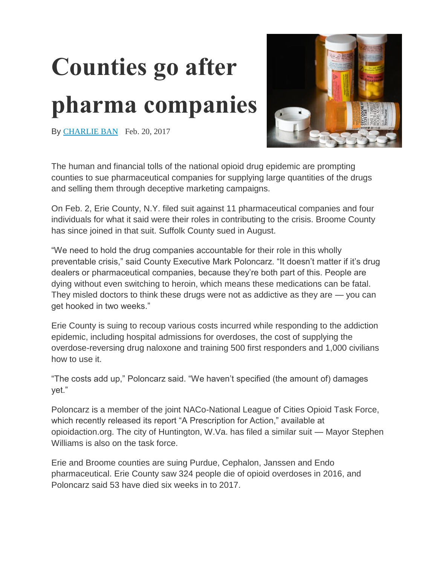## **Counties go after pharma companies**



By [CHARLIE](http://www.naco.org/people/charlie-ban) BAN Feb. 20, 2017

The human and financial tolls of the national opioid drug epidemic are prompting counties to sue pharmaceutical companies for supplying large quantities of the drugs and selling them through deceptive marketing campaigns.

On Feb. 2, Erie County, N.Y. filed suit against 11 pharmaceutical companies and four individuals for what it said were their roles in contributing to the crisis. Broome County has since joined in that suit. Suffolk County sued in August.

"We need to hold the drug companies accountable for their role in this wholly preventable crisis," said County Executive Mark Poloncarz. "It doesn't matter if it's drug dealers or pharmaceutical companies, because they're both part of this. People are dying without even switching to heroin, which means these medications can be fatal. They misled doctors to think these drugs were not as addictive as they are — you can get hooked in two weeks."

Erie County is suing to recoup various costs incurred while responding to the addiction epidemic, including hospital admissions for overdoses, the cost of supplying the overdose-reversing drug naloxone and training 500 first responders and 1,000 civilians how to use it.

"The costs add up," Poloncarz said. "We haven't specified (the amount of) damages yet."

Poloncarz is a member of the joint NACo-National League of Cities Opioid Task Force, which recently released its report "A Prescription for Action," available at opioidaction.org. The city of Huntington, W.Va. has filed a similar suit — Mayor Stephen Williams is also on the task force.

Erie and Broome counties are suing Purdue, Cephalon, Janssen and Endo pharmaceutical. Erie County saw 324 people die of opioid overdoses in 2016, and Poloncarz said 53 have died six weeks in to 2017.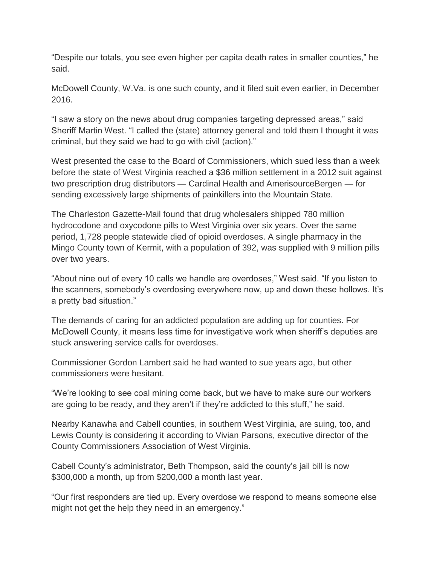"Despite our totals, you see even higher per capita death rates in smaller counties," he said.

McDowell County, W.Va. is one such county, and it filed suit even earlier, in December 2016.

"I saw a story on the news about drug companies targeting depressed areas," said Sheriff Martin West. "I called the (state) attorney general and told them I thought it was criminal, but they said we had to go with civil (action)."

West presented the case to the Board of Commissioners, which sued less than a week before the state of West Virginia reached a \$36 million settlement in a 2012 suit against two prescription drug distributors — Cardinal Health and AmerisourceBergen — for sending excessively large shipments of painkillers into the Mountain State.

The Charleston Gazette-Mail found that drug wholesalers shipped 780 million hydrocodone and oxycodone pills to West Virginia over six years. Over the same period, 1,728 people statewide died of opioid overdoses. A single pharmacy in the Mingo County town of Kermit, with a population of 392, was supplied with 9 million pills over two years.

"About nine out of every 10 calls we handle are overdoses," West said. "If you listen to the scanners, somebody's overdosing everywhere now, up and down these hollows. It's a pretty bad situation."

The demands of caring for an addicted population are adding up for counties. For McDowell County, it means less time for investigative work when sheriff's deputies are stuck answering service calls for overdoses.

Commissioner Gordon Lambert said he had wanted to sue years ago, but other commissioners were hesitant.

"We're looking to see coal mining come back, but we have to make sure our workers are going to be ready, and they aren't if they're addicted to this stuff," he said.

Nearby Kanawha and Cabell counties, in southern West Virginia, are suing, too, and Lewis County is considering it according to Vivian Parsons, executive director of the County Commissioners Association of West Virginia.

Cabell County's administrator, Beth Thompson, said the county's jail bill is now \$300,000 a month, up from \$200,000 a month last year.

"Our first responders are tied up. Every overdose we respond to means someone else might not get the help they need in an emergency."